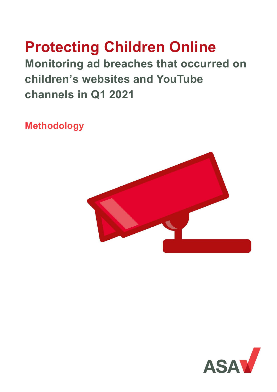# **Protecting Children Online**

**Monitoring ad breaches that occurred on children's websites and YouTube channels in Q1 2021**

**Methodology**



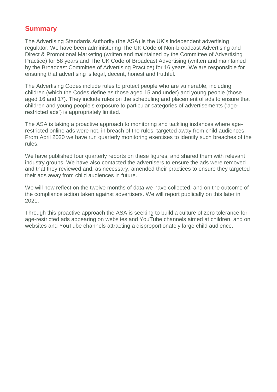# **Summary**

The Advertising Standards Authority (the ASA) is the UK's independent advertising regulator. We have been administering The UK Code of Non-broadcast Advertising and Direct & Promotional Marketing (written and maintained by the Committee of Advertising Practice) for 58 years and The UK Code of Broadcast Advertising (written and maintained by the Broadcast Committee of Advertising Practice) for 16 years. We are responsible for ensuring that advertising is legal, decent, honest and truthful.

The Advertising Codes include rules to protect people who are vulnerable, including children (which the Codes define as those aged 15 and under) and young people (those aged 16 and 17). They include rules on the scheduling and placement of ads to ensure that children and young people's exposure to particular categories of advertisements ('agerestricted ads') is appropriately limited.

The ASA is taking a proactive approach to monitoring and tackling instances where agerestricted online ads were not, in breach of the rules, targeted away from child audiences. From April 2020 we have run quarterly monitoring exercises to identify such breaches of the rules.

We have published four quarterly reports on these figures, and shared them with relevant industry groups. We have also contacted the advertisers to ensure the ads were removed and that they reviewed and, as necessary, amended their practices to ensure they targeted their ads away from child audiences in future.

We will now reflect on the twelve months of data we have collected, and on the outcome of the compliance action taken against advertisers. We will report publically on this later in 2021.

Through this proactive approach the ASA is seeking to build a culture of zero tolerance for age-restricted ads appearing on websites and YouTube channels aimed at children, and on websites and YouTube channels attracting a disproportionately large child audience.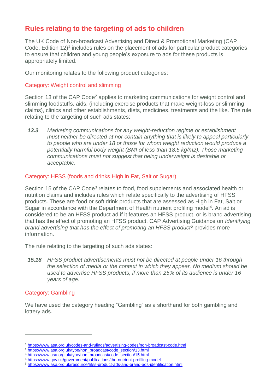# **Rules relating to the targeting of ads to children**

The UK Code of Non-broadcast Advertising and Direct & Promotional Marketing (CAP Code, Edition 12)<sup>1</sup> includes rules on the placement of ads for particular product categories to ensure that children and young people's exposure to ads for these products is appropriately limited.

Our monitoring relates to the following product categories:

## Category: Weight control and slimming

Section 13 of the CAP Code<sup>2</sup> applies to marketing communications for weight control and slimming foodstuffs, aids, (including exercise products that make weight-loss or slimming claims), clinics and other establishments, diets, medicines, treatments and the like. The rule relating to the targeting of such ads states:

*13.3 Marketing communications for any weight-reduction regime or establishment must neither be directed at nor contain anything that is likely to appeal particularly to people who are under 18 or those for whom weight reduction would produce a potentially harmful body weight (BMI of less than 18.5 kg/m2). Those marketing communications must not suggest that being underweight is desirable or acceptable.*

## Category: HFSS (foods and drinks High in Fat, Salt or Sugar)

Section 15 of the CAP Code<sup>3</sup> relates to food, food supplements and associated health or nutrition claims and includes rules which relate specifically to the advertising of HFSS products. These are food or soft drink products that are assessed as High in Fat, Salt or Sugar in accordance with the Department of Health nutrient profiling model<sup>4</sup>. An ad is considered to be an HFSS product ad if it features an HFSS product, or is brand advertising that has the effect of promoting an HFSS product. CAP Advertising Guidance on *Identifying brand advertising that has the effect of promoting an HFSS product*<sup>5</sup> provides more information.

The rule relating to the targeting of such ads states:

*15.18 HFSS product advertisements must not be directed at people under 16 through the selection of media or the context in which they appear. No medium should be used to advertise HFSS products, if more than 25% of its audience is under 16 years of age.*

## Category: Gambling

 $\overline{a}$ 

We have used the category heading "Gambling" as a shorthand for both gambling and lottery ads.

<sup>1</sup> <https://www.asa.org.uk/codes-and-rulings/advertising-codes/non-broadcast-code.html>

<sup>2</sup> [https://www.asa.org.uk/type/non\\_broadcast/code\\_section/13.html](https://www.asa.org.uk/type/non_broadcast/code_section/13.html)

<sup>&</sup>lt;sup>3</sup> [https://www.asa.org.uk/type/non\\_broadcast/code\\_section/15.html](https://www.asa.org.uk/type/non_broadcast/code_section/15.html)

<sup>4</sup> <https://www.gov.uk/government/publications/the-nutrient-profiling-model>

<sup>5</sup> <https://www.asa.org.uk/resource/hfss-product-ads-and-brand-ads-identification.html>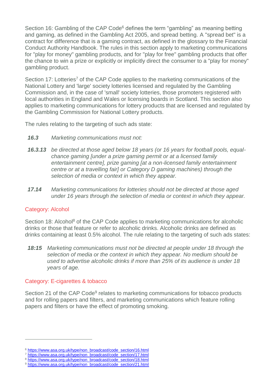Section 16: Gambling of the CAP Code<sup>6</sup> defines the term "gambling" as meaning betting and gaming, as defined in the Gambling Act 2005, and spread betting. A "spread bet" is a contract for difference that is a gaming contract, as defined in the glossary to the Financial Conduct Authority Handbook. The rules in this section apply to marketing communications for "play for money" gambling products, and for "play for free" gambling products that offer the chance to win a prize or explicitly or implicitly direct the consumer to a "play for money" gambling product.

Section 17: Lotteries<sup>7</sup> of the CAP Code applies to the marketing communications of the National Lottery and 'large' society lotteries licensed and regulated by the Gambling Commission and, in the case of 'small' society lotteries, those promoters registered with local authorities in England and Wales or licensing boards in Scotland. This section also applies to marketing communications for lottery products that are licensed and regulated by the Gambling Commission for National Lottery products.

The rules relating to the targeting of such ads state:

- *16.3 Marketing communications must not:*
- *16.3.13 be directed at those aged below 18 years (or 16 years for football pools, equalchance gaming [under a prize gaming permit or at a licensed family entertainment centre], prize gaming [at a non-licensed family entertainment centre or at a travelling fair] or Category D gaming machines) through the selection of media or context in which they appear.*
- *17.14 Marketing communications for lotteries should not be directed at those aged under 16 years through the selection of media or context in which they appear.*

## Category: Alcohol

 $\overline{a}$ 

Section 18: Alcohol<sup>8</sup> of the CAP Code applies to marketing communications for alcoholic drinks or those that feature or refer to alcoholic drinks. Alcoholic drinks are defined as drinks containing at least 0.5% alcohol. The rule relating to the targeting of such ads states:

*18:15 Marketing communications must not be directed at people under 18 through the selection of media or the context in which they appear. No medium should be used to advertise alcoholic drinks if more than 25% of its audience is under 18 years of age.*

## Category: E-cigarettes & tobacco

Section 21 of the CAP Code<sup>9</sup> relates to marketing communications for tobacco products and for rolling papers and filters, and marketing communications which feature rolling papers and filters or have the effect of promoting smoking.

<sup>&</sup>lt;sup>6</sup> [https://www.asa.org.uk/type/non\\_broadcast/code\\_section/16.html](https://www.asa.org.uk/type/non_broadcast/code_section/16.html)

<sup>&</sup>lt;sup>7</sup> [https://www.asa.org.uk/type/non\\_broadcast/code\\_section/17.html](https://www.asa.org.uk/type/non_broadcast/code_section/17.html)

<sup>8</sup> [https://www.asa.org.uk/type/non\\_broadcast/code\\_section/18.html](https://www.asa.org.uk/type/non_broadcast/code_section/18.html)

<sup>9</sup> [https://www.asa.org.uk/type/non\\_broadcast/code\\_section/21.html](https://www.asa.org.uk/type/non_broadcast/code_section/21.html)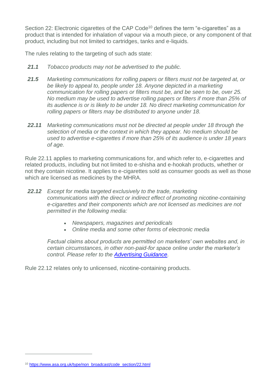Section 22: Electronic cigarettes of the CAP Code<sup>10</sup> defines the term "e-cigarettes" as a product that is intended for inhalation of vapour via a mouth piece, or any component of that product, including but not limited to cartridges, tanks and e-liquids.

The rules relating to the targeting of such ads state:

- *21.1 Tobacco products may not be advertised to the public.*
- *21.5 Marketing communications for rolling papers or filters must not be targeted at, or be likely to appeal to, people under 18. Anyone depicted in a marketing communication for rolling papers or filters must be, and be seen to be, over 25. No medium may be used to advertise rolling papers or filters if more than 25% of its audience is or is likely to be under 18. No direct marketing communication for rolling papers or filters may be distributed to anyone under 18.*
- *22.11 Marketing communications must not be directed at people under 18 through the selection of media or the context in which they appear. No medium should be used to advertise e-cigarettes if more than 25% of its audience is under 18 years of age.*

Rule 22.11 applies to marketing communications for, and which refer to, e-cigarettes and related products, including but not limited to e-shisha and e-hookah products, whether or not they contain nicotine. It applies to e-cigarettes sold as consumer goods as well as those which are licensed as medicines by the MHRA.

- *22.12 Except for media targeted exclusively to the trade, marketing communications with the direct or indirect effect of promoting nicotine-containing e-cigarettes and their components which are not licensed as medicines are not permitted in the following media:*
	- *Newspapers, magazines and periodicals*
	- *Online media and some other forms of electronic media*

*Factual claims about products are permitted on marketers' own websites and, in certain circumstances, in other non-paid-for space online under the marketer's control. Please refer to the [Advertising Guidance.](https://www.asa.org.uk/resource/electronic-cigarette-advertising-prohibition.html)*

Rule 22.12 relates only to unlicensed, nicotine-containing products.

 $\overline{a}$ 

<sup>10</sup> [https://www.asa.org.uk/type/non\\_broadcast/code\\_section/22.html](https://www.asa.org.uk/type/non_broadcast/code_section/22.html)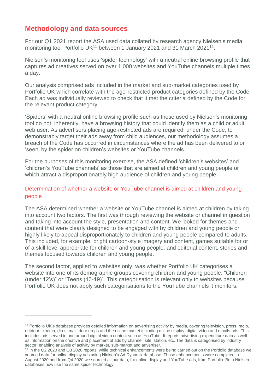# **Methodology and data sources**

 $\overline{a}$ 

For our Q1 2021 report the ASA used data collated by research agency Nielsen's media monitoring tool Portfolio UK<sup>11</sup> between 1 January 2021 and 31 March 2021<sup>12</sup>.

Nielsen's monitoring tool uses 'spider technology' with a neutral online browsing profile that captures ad creatives served on over 1,000 websites and YouTube channels multiple times a day.

Our analysis comprised ads included in the market and sub-market categories used by Portfolio UK which correlate with the age-restricted product categories defined by the Code. Each ad was individually reviewed to check that it met the criteria defined by the Code for the relevant product category.

'Spiders' with a neutral online browsing profile such as those used by Nielsen's monitoring tool do not, inherently, have a browsing history that could identify them as a child or adult web user. As advertisers placing age-restricted ads are required, under the Code, to demonstrably target their ads away from child audiences, our methodology assumes a breach of the Code has occurred in circumstances where the ad has been delivered to or 'seen' by the spider on children's websites or YouTube channels.

For the purposes of this monitoring exercise, the ASA defined 'children's websites' and 'children's YouTube channels' as those that are aimed at children and young people or which attract a disproportionately high audience of children and young people.

# Determination of whether a website or YouTube channel is aimed at children and young people

The ASA determined whether a website or YouTube channel is aimed at children by taking into account two factors. The first was through reviewing the website or channel in question and taking into account the style, presentation and content. We looked for themes and content that were clearly designed to be engaged with by children and young people or highly likely to appeal disproportionately to children and young people compared to adults. This included, for example, bright cartoon-style imagery and content, games suitable for or of a skill-level appropriate for children and young people, and editorial content, stories and themes focused towards children and young people.

The second factor, applied to websites only, was whether Portfolio UK categorises a website into one of its demographic groups covering children and young people: "Children (under 12's)" or "Teens (13-19)". This categorisation is relevant only to websites because Portfolio UK does not apply such categorisations to the YouTube channels it monitors.

<sup>11</sup> Portfolio UK's database provides detailed information on advertising activity by media, covering television, press, radio, outdoor, cinema, direct mail, door drops and the online market including online display, digital video and emails ads. This includes ads served in and around digital video content such as YouTube. It reports advertising expenditure data as well as information on the creative and placement of ads by channel, site, station, etc. The data is categorised by industry sector, enabling analysis of activity by market, sub-market and advertiser.

<sup>&</sup>lt;sup>12</sup> In the Q2 2020 and Q3 2020 reports, while technical enhancements were being carried out on the Portfolio database we sourced data for online display ads using Nielsen's Ad Dynamix database. Those enhancements were completed in August 2020 and from Q4 2020 we sourced all our data, for online display and YouTube ads, from Portfolio. Both Nielsen databases now use the same spider technology.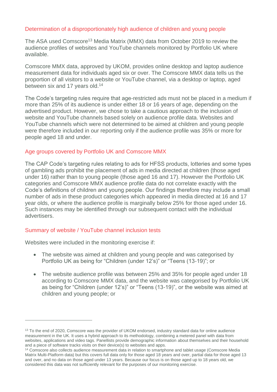## Determination of a disproportionately high audience of children and young people

The ASA used Comscore<sup>13</sup> Media Matrix (MMX) data from October 2019 to review the audience profiles of websites and YouTube channels monitored by Portfolio UK where available.

Comscore MMX data, approved by UKOM, provides online desktop and laptop audience measurement data for individuals aged six or over. The Comscore MMX data tells us the proportion of all visitors to a website or YouTube channel, via a desktop or laptop, aged between six and 17 years old.<sup>14</sup>

The Code's targeting rules require that age-restricted ads must not be placed in a medium if more than 25% of its audience is under either 18 or 16 years of age, depending on the advertised product. However, we chose to take a cautious approach to the inclusion of website and YouTube channels based solely on audience profile data. Websites and YouTube channels which were not determined to be aimed at children and young people were therefore included in our reporting only if the audience profile was 35% or more for people aged 18 and under.

## Age groups covered by Portfolio UK and Comscore MMX

The CAP Code's targeting rules relating to ads for HFSS products, lotteries and some types of gambling ads prohibit the placement of ads in media directed at children (those aged under 16) rather than to young people (those aged 16 and 17). However the Portfolio UK categories and Comscore MMX audience profile data do not correlate exactly with the Code's definitions of children and young people. Our findings therefore may include a small number of ads in these product categories which appeared in media directed at 16 and 17 year olds, or where the audience profile is marginally below 25% for those aged under 16. Such instances may be identified through our subsequent contact with the individual advertisers.

## Summary of website / YouTube channel inclusion tests

Websites were included in the monitoring exercise if:

 $\overline{a}$ 

- The website was aimed at children and young people and was categorised by Portfolio UK as being for "Children (under 12's)" or "Teens (13-19)"; or
- The website audience profile was between 25% and 35% for people aged under 18 according to Comscore MMX data, and the website was categorised by Portfolio UK as being for "Children (under 12's)" or "Teens (13-19)", or the website was aimed at children and young people; or

<sup>&</sup>lt;sup>13</sup> To the end of 2020, Comscore was the provider of UKOM endorsed, industry standard data for online audience measurement in the UK. It uses a hybrid approach to its methodology, combining a metered panel with data from websites, applications and video tags. Panellists provide demographic information about themselves and their household and a piece of software tracks visits on their device(s) to websites and apps.

<sup>14</sup> Comscore also collects audience measurement data in relation to smartphone and tablet usage (Comscore Media Matrix Multi-Platform data) but this covers full data only for those aged 18 years and over, partial data for those aged 13 and over, and no data on those aged under 13 years. Because our focus is on those aged up to 18 years old, we considered this data was not sufficiently relevant for the purposes of our monitoring exercise.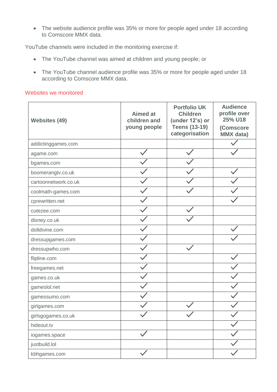The website audience profile was 35% or more for people aged under 18 according to Comscore MMX data.

YouTube channels were included in the monitoring exercise if:

- The YouTube channel was aimed at children and young people; or
- The YouTube channel audience profile was 35% or more for people aged under 18 according to Comscore MMX data.

#### Websites we monitored

| <b>Websites (49)</b> | <b>Aimed at</b><br>children and<br>young people | <b>Portfolio UK</b><br><b>Children</b><br>(under 12's) or<br><b>Teens (13-19)</b><br>categorisation | <b>Audience</b><br>profile over<br>25% U18<br>(Comscore<br><b>MMX</b> data) |
|----------------------|-------------------------------------------------|-----------------------------------------------------------------------------------------------------|-----------------------------------------------------------------------------|
| addictinggames.com   |                                                 |                                                                                                     |                                                                             |
| agame.com            |                                                 |                                                                                                     |                                                                             |
| bgames.com           |                                                 |                                                                                                     |                                                                             |
| boomerangtv.co.uk    |                                                 |                                                                                                     |                                                                             |
| cartoonnetwork.co.uk |                                                 |                                                                                                     |                                                                             |
| coolmath-games.com   |                                                 |                                                                                                     |                                                                             |
| cprewritten.net      |                                                 |                                                                                                     |                                                                             |
| cutezee.com          |                                                 |                                                                                                     |                                                                             |
| disney.co.uk         |                                                 |                                                                                                     |                                                                             |
| dolldivine.com       |                                                 |                                                                                                     |                                                                             |
| dressupgames.com     |                                                 |                                                                                                     |                                                                             |
| dressupwho.com       |                                                 |                                                                                                     |                                                                             |
| flipline.com         |                                                 |                                                                                                     |                                                                             |
| freegames.net        |                                                 |                                                                                                     |                                                                             |
| games.co.uk          |                                                 |                                                                                                     |                                                                             |
| gameslol.net         |                                                 |                                                                                                     |                                                                             |
| gamessumo.com        |                                                 |                                                                                                     |                                                                             |
| girlgames.com        |                                                 |                                                                                                     |                                                                             |
| girlsgogames.co.uk   |                                                 |                                                                                                     |                                                                             |
| hideout.tv           |                                                 |                                                                                                     |                                                                             |
| iogames.space        |                                                 |                                                                                                     |                                                                             |
| justbuild.lol        |                                                 |                                                                                                     |                                                                             |
| kbhgames.com         |                                                 |                                                                                                     |                                                                             |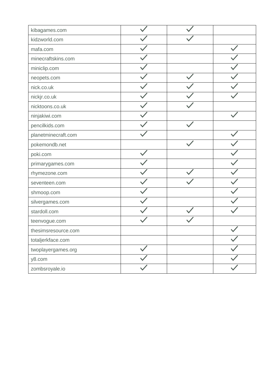| kibagames.com       |  |  |
|---------------------|--|--|
| kidzworld.com       |  |  |
| mafa.com            |  |  |
| minecraftskins.com  |  |  |
| miniclip.com        |  |  |
| neopets.com         |  |  |
| nick.co.uk          |  |  |
| nickjr.co.uk        |  |  |
| nicktoons.co.uk     |  |  |
| ninjakiwi.com       |  |  |
| pencilkids.com      |  |  |
| planetminecraft.com |  |  |
| pokemondb.net       |  |  |
| poki.com            |  |  |
| primarygames.com    |  |  |
| rhymezone.com       |  |  |
| seventeen.com       |  |  |
| shmoop.com          |  |  |
| silvergames.com     |  |  |
| stardoll.com        |  |  |
| teenvogue.com       |  |  |
| thesimsresource.com |  |  |
| totaljerkface.com   |  |  |
| twoplayergames.org  |  |  |
| y8.com              |  |  |
| zombsroyale.io      |  |  |